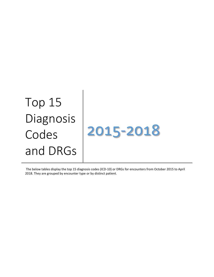# Top 15 Diagnosis Codes and DRGs



The below tables display the top 15 diagnosis codes (ICD-10) or DRGs for encounters from October 2015 to April 2018. They are grouped by encounter type or by distinct patient.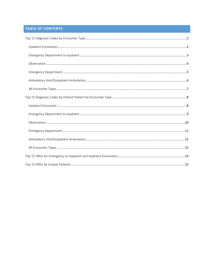# TABLE OF CONTENTS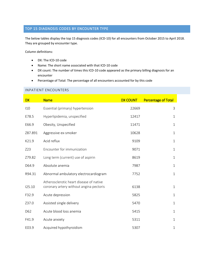# <span id="page-2-0"></span>TOP 15 DIAGNOSIS CODES BY ENCOUNTER TYPE

The below tables display the top 15 diagnosis codes (ICD-10) for all encounters from October 2015 to April 2018. They are grouped by encounter type.

Column definitions:

- DX: The ICD-10 code
- Name: The short name associated with that ICD-10 code
- DX count: The number of times this ICD-10 code appeared as the primary billing diagnosis for an encounter
- Percentage of Total: The percentage of all encounters accounted for by this code

#### <span id="page-2-1"></span>INPATIENT ENCOUNTERS

| <b>DX</b> | <b>Name</b>                                                                        | <b>DX COUNT</b> | <b>Percentage of Total</b> |
|-----------|------------------------------------------------------------------------------------|-----------------|----------------------------|
| 110       | Essential (primary) hypertension                                                   | 22669           | 3                          |
| E78.5     | Hyperlipidemia, unspecified                                                        | 12417           | $\mathbf 1$                |
| E66.9     | Obesity, Unspecified                                                               | 11471           | 1                          |
| Z87.891   | Aggressive ex-smoker                                                               | 10628           | $\mathbf 1$                |
| K21.9     | Acid reflux                                                                        | 9109            | $\mathbf{1}$               |
| Z23       | Encounter for immunization                                                         | 9071            | $\mathbf 1$                |
| Z79.82    | Long term (current) use of aspirin                                                 | 8619            | $\mathbf{1}$               |
| D64.9     | Absolute anemia                                                                    | 7987            | 1                          |
| R94.31    | Abnormal ambulatory electrocardiogram                                              | 7752            | $\mathbf{1}$               |
| 125.10    | Atherosclerotic heart disease of native<br>coronary artery without angina pectoris | 6138            | $\mathbf{1}$               |
| F32.9     | Acute depression                                                                   | 5825            | $\mathbf 1$                |
| Z37.0     | Assisted single delivery                                                           | 5470            | 1                          |
| D62       | Acute blood loss anemia                                                            | 5415            | $\mathbf 1$                |
| F41.9     | Acute anxiety                                                                      | 5311            | $\mathbf 1$                |
| E03.9     | Acquired hypothyroidism                                                            | 5307            | 1                          |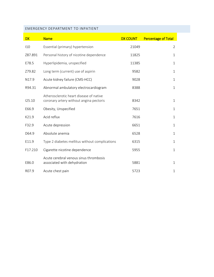## <span id="page-3-0"></span>EMERGENCY DEPARTMENT TO INPATIENT

| <b>DX</b> | <b>Name</b>                                                                        | <b>DX COUNT</b> | <b>Percentage of Total</b> |
|-----------|------------------------------------------------------------------------------------|-----------------|----------------------------|
| 110       | Essential (primary) hypertension                                                   | 21049           | $\overline{2}$             |
| Z87.891   | Personal history of nicotine dependence                                            | 11825           | $\mathbf 1$                |
| E78.5     | Hyperlipidemia, unspecified                                                        | 11385           | $\mathbf 1$                |
| Z79.82    | Long term (current) use of aspirin                                                 | 9582            | $\mathbf{1}$               |
| N17.9     | Acute kidney failure (CMS-HCC)                                                     | 9028            | $\mathbf 1$                |
| R94.31    | Abnormal ambulatory electrocardiogram                                              | 8388            | $\mathbf{1}$               |
| 125.10    | Atherosclerotic heart disease of native<br>coronary artery without angina pectoris | 8342            | $\mathbf{1}$               |
| E66.9     | Obesity, Unspecified                                                               | 7651            | $\mathbf 1$                |
| K21.9     | Acid reflux                                                                        | 7616            | $\mathbf 1$                |
| F32.9     | Acute depression                                                                   | 6651            | $\mathbf 1$                |
| D64.9     | Absolute anemia                                                                    | 6528            | $\mathbf{1}$               |
| E11.9     | Type 2 diabetes mellitus without complications                                     | 6315            | $\mathbf{1}$               |
| F17.210   | Cigarette nicotine dependence                                                      | 5955            | $\mathbf 1$                |
| E86.0     | Acute cerebral venous sinus thrombosis<br>associated with dehydration              | 5881            | $\mathbf 1$                |
| R07.9     | Acute chest pain                                                                   | 5723            | $\mathbf 1$                |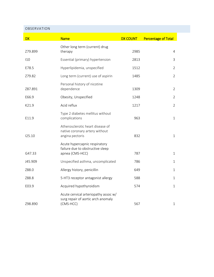#### <span id="page-4-0"></span>OBSERVATION

| <b>DX</b> | <b>Name</b>                                                                             | <b>DX COUNT</b> | <b>Percentage of Total</b> |
|-----------|-----------------------------------------------------------------------------------------|-----------------|----------------------------|
| Z79.899   | Other long term (current) drug<br>therapy                                               | 2985            | $\overline{4}$             |
| 110       | Essential (primary) hypertension                                                        | 2813            | 3                          |
| E78.5     | Hyperlipidemia, unspecified                                                             | 1512            | $\overline{2}$             |
| Z79.82    | Long term (current) use of aspirin                                                      | 1485            | $\overline{2}$             |
| Z87.891   | Personal history of nicotine<br>dependence                                              | 1309            | $\overline{2}$             |
| E66.9     | Obesity, Unspecified                                                                    | 1248            | $\overline{2}$             |
| K21.9     | Acid reflux                                                                             | 1217            | $\overline{2}$             |
| E11.9     | Type 2 diabetes mellitus without<br>complications                                       | 963             | 1                          |
| 125.10    | Atherosclerotic heart disease of<br>native coronary artery without<br>angina pectoris   | 832             | $\mathbf{1}$               |
| G47.33    | Acute hypercapnic respiratory<br>failure due to obstructive sleep<br>apnea (CMS-HCC)    | 787             | $\mathbf{1}$               |
| J45.909   | Unspecified asthma, uncomplicated                                                       | 786             | $\mathbf{1}$               |
| Z88.0     | Allergy history, penicillin                                                             | 649             | $\mathbf{1}$               |
| Z88.8     | 5-HT3 receptor antagonist allergy                                                       | 588             | $\mathbf{1}$               |
| E03.9     | Acquired hypothyroidism                                                                 | 574             | $\mathbf{1}$               |
| Z98.890   | Acute cervical arteriopathy assoc w/<br>surg repair of aortic arch anomaly<br>(CMS-HCC) | 567             | $\mathbf{1}$               |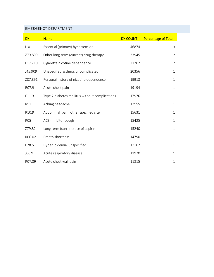#### <span id="page-5-0"></span>EMERGENCY DEPARTMENT

| <b>DX</b>  | <b>Name</b>                                    | <b>DX COUNT</b> | <b>Percentage of Total</b> |
|------------|------------------------------------------------|-----------------|----------------------------|
| 110        | Essential (primary) hypertension               | 46874           | 3                          |
| Z79.899    | Other long term (current) drug therapy         | 33945           | $\overline{2}$             |
| F17.210    | Cigarette nicotine dependence                  | 21767           | $\overline{2}$             |
| J45.909    | Unspecified asthma, uncomplicated              | 20356           | 1                          |
| Z87.891    | Personal history of nicotine dependence        | 19918           | $\mathbf{1}$               |
| R07.9      | Acute chest pain                               | 19194           | $\mathbf 1$                |
| E11.9      | Type 2 diabetes mellitus without complications | 17976           | $\mathbf{1}$               |
| <b>R51</b> | Aching headache                                | 17555           | $\mathbf 1$                |
| R10.9      | Abdominal pain, other specified site           | 15631           | $\mathbf 1$                |
| <b>R05</b> | ACE-inhibitor cough                            | 15425           | $\mathbf 1$                |
| Z79.82     | Long term (current) use of aspirin             | 15240           | $\mathbf 1$                |
| R06.02     | <b>Breath shortness</b>                        | 14790           | $\mathbf 1$                |
| E78.5      | Hyperlipidemia, unspecified                    | 12167           | $\mathbf{1}$               |
| J06.9      | Acute respiratory disease                      | 11970           | 1                          |
| R07.89     | Acute chest wall pain                          | 11815           | $\mathbf{1}$               |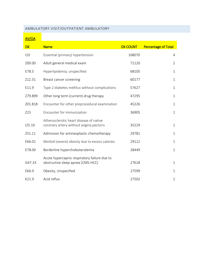## <span id="page-6-0"></span>AMBULATORY VISIT/OUTPATIENT AMBULATORY

# AV/OA

| <b>DX</b> | <b>Name</b>                                                                        | <b>DX COUNT</b> | <b>Percentage of Total</b> |
|-----------|------------------------------------------------------------------------------------|-----------------|----------------------------|
| 110       | Essential (primary) hypertension                                                   | 168070          | 4                          |
| Z00.00    | Adult general medical exam                                                         | 71120           | $\overline{2}$             |
| E78.5     | Hyperlipidemia, unspecified                                                        | 68105           | $\mathbf{1}$               |
| Z12.31    | Breast cancer screening                                                            | 60177           | $\mathbf{1}$               |
| E11.9     | Type 2 diabetes mellitus without complications                                     | 57627           | $\mathbf{1}$               |
| Z79.899   | Other long term (current) drug therapy                                             | 47295           | $\mathbf{1}$               |
| Z01.818   | Encounter for other preprocedural examination                                      | 45226           | $\mathbf{1}$               |
| Z23       | Encounter for immunization                                                         | 36905           | $\mathbf{1}$               |
| 125.10    | Atherosclerotic heart disease of native<br>coronary artery without angina pectoris | 35229           | $\mathbf{1}$               |
| Z51.11    | Admission for antineoplastic chemotherapy                                          | 29781           | $\mathbf{1}$               |
| E66.01    | Morbid (severe) obesity due to excess calories.                                    | 29112           | $\mathbf{1}$               |
| E78.00    | Borderline hypercholesterolemia                                                    | 28449           | $\mathbf{1}$               |
| G47.33    | Acute hypercapnic respiratory failure due to<br>obstructive sleep apnea (CMS-HCC)  | 27618           | $\mathbf{1}$               |
| E66.9     | Obesity, Unspecified                                                               | 27599           | $\mathbf{1}$               |
| K21.9     | Acid reflux                                                                        | 27502           | $\mathbf{1}$               |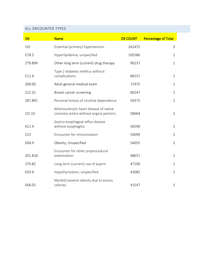#### <span id="page-7-0"></span>ALL ENCOUNTER TYPES

| <b>DX</b> | <b>Name</b>                                                                        | <b>DX COUNT</b> | <b>Percentage of Total</b> |
|-----------|------------------------------------------------------------------------------------|-----------------|----------------------------|
| 110       | Essential (primary) hypertension                                                   | 261475          | 3                          |
| E78.5     | Hyperlipidemia, unspecified                                                        | 105586          | $\mathbf 1$                |
| Z79.899   | Other long term (current) drug therapy                                             | 90237           | $\mathbf{1}$               |
| E11.9     | Type 2 diabetes mellitus without<br>complications                                  | 88157           | $\mathbf{1}$               |
| Z00.00    | Adult general medical exam                                                         | 71975           | $\mathbf 1$                |
| Z12.31    | Breast cancer screening                                                            | 60247           | $\mathbf{1}$               |
| Z87.891   | Personal history of nicotine dependence                                            | 59375           | $\mathbf{1}$               |
| 125.10    | Atherosclerotic heart disease of native<br>coronary artery without angina pectoris | 58664           | $\mathbf{1}$               |
| K21.9     | Gastro-esophageal reflux disease<br>without esophagitis                            | 56590           | $\mathbf{1}$               |
| Z23       | Encounter for immunization                                                         | 54099           | $\mathbf{1}$               |
| E66.9     | Obesity, Unspecified                                                               | 54055           | $\mathbf{1}$               |
| Z01.818   | Encounter for other preprocedural<br>examination                                   | 48657           | $\mathbf{1}$               |
| Z79.82    | Long term (current) use of aspirin                                                 | 47190           | $\mathbf 1$                |
| E03.9     | Hypothyroidism, unspecified                                                        | 42082           | $\mathbf{1}$               |
| E66.01    | Morbid (severe) obesity due to excess<br>calories.                                 | 41547           | $\mathbf{1}$               |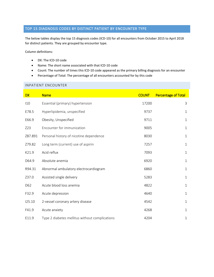## <span id="page-8-0"></span>TOP 15 DIAGNOSIS CODES BY DISTINCT PATIENT BY ENCOUNTER TYPE

The below tables display the top 15 diagnosis codes (ICD-10) for all encounters from October 2015 to April 2018 for distinct patients. They are grouped by encounter type.

Column definitions:

- DX: The ICD-10 code
- Name: The short name associated with that ICD-10 code
- Count: The number of times this ICD-10 code appeared as the primary billing diagnosis for an encounter
- Percentage of Total: The percentage of all encounters accounted for by this code

#### <span id="page-8-1"></span>INPATIENT ENCOUNTER

| <b>DX</b> | <b>Name</b>                                    | <b>COUNT</b> | <b>Percentage of Total</b> |
|-----------|------------------------------------------------|--------------|----------------------------|
| 110       | Essential (primary) hypertension               | 17200        | 3                          |
| E78.5     | Hyperlipidemia, unspecified                    | 9737         | $\mathbf{1}$               |
| E66.9     | Obesity, Unspecified                           | 9711         | $\mathbf{1}$               |
| Z23       | Encounter for immunization                     | 9005         | $\mathbf{1}$               |
| Z87.891   | Personal history of nicotine dependence        | 8030         | $\mathbf{1}$               |
| Z79.82    | Long term (current) use of aspirin             | 7257         | $\mathbf 1$                |
| K21.9     | Acid reflux                                    | 7093         | $\mathbf{1}$               |
| D64.9     | Absolute anemia                                | 6920         | $\mathbf{1}$               |
| R94.31    | Abnormal ambulatory electrocardiogram          | 6860         | $\mathbf{1}$               |
| Z37.0     | Assisted single delivery                       | 5283         | $\mathbf{1}$               |
| D62       | Acute blood loss anemia                        | 4822         | $\mathbf{1}$               |
| F32.9     | Acute depression                               | 4640         | $\mathbf{1}$               |
| 125.10    | 2-vessel coronary artery disease               | 4542         | $\mathbf{1}$               |
| F41.9     | Acute anxiety                                  | 4268         | $\mathbf 1$                |
| E11.9     | Type 2 diabetes mellitus without complications | 4204         | $\mathbf{1}$               |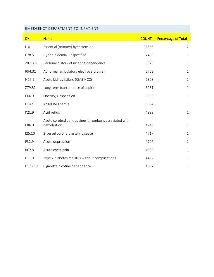## <span id="page-9-0"></span>EMERGENCY DEPARTMENT TO INPATIENT

| <b>DX</b>         | <b>Name</b>                                                           | <b>COUNT</b> | <b>Percentage of Total</b> |
|-------------------|-----------------------------------------------------------------------|--------------|----------------------------|
| 110               | Essential (primary) hypertension                                      | 13566        | $\overline{2}$             |
| E78.5             | Hyperlipidemia, unspecified                                           | 7438         | $\mathbf{1}$               |
| Z87.891           | Personal history of nicotine dependence                               | 6929         | $\mathbf{1}$               |
| R94.31            | Abnormal ambulatory electrocardiogram                                 | 6763         | $\mathbf{1}$               |
| N <sub>17.9</sub> | Acute kidney failure (CMS-HCC)                                        | 6368         | $\mathbf{1}$               |
| Z79.82            | Long term (current) use of aspirin                                    | 6231         | $\mathbf{1}$               |
| E66.9             | Obesity, Unspecified                                                  | 5960         | $\mathbf{1}$               |
| D64.9             | Absolute anemia                                                       | 5064         | $\mathbf 1$                |
| K21.9             | Acid reflux                                                           | 4999         | $\mathbf{1}$               |
| E86.0             | Acute cerebral venous sinus thrombosis associated with<br>dehydration | 4746         | $\mathbf{1}$               |
| 125.10            | 2-vessel coronary artery disease                                      | 4717         | $\mathbf{1}$               |
| F32.9             | Acute depression                                                      | 4707         | $\mathbf{1}$               |
| R07.9             | Acute chest pain                                                      | 4569         | $\mathbf 1$                |
| E11.9             | Type 2 diabetes mellitus without complications                        | 4432         | $\mathbf{1}$               |
| F17.210           | Cigarette nicotine dependence                                         | 4097         | 1                          |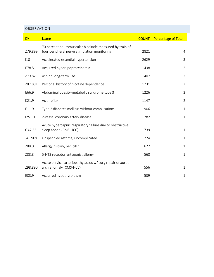#### <span id="page-10-0"></span>OBSERVATION

| <b>DX</b> | <b>Name</b>                                                                                            | <b>COUNT</b> | <b>Percentage of Total</b> |
|-----------|--------------------------------------------------------------------------------------------------------|--------------|----------------------------|
| Z79.899   | 70 percent neuromuscular blockade measured by train of<br>four peripheral nerve stimulation monitoring | 2821         | 4                          |
| 110       | Accelerated essential hypertension                                                                     | 2629         | 3                          |
| E78.5     | Acquired hyperlipoproteinemia                                                                          | 1438         | $\overline{2}$             |
| Z79.82    | Aspirin long-term use                                                                                  | 1407         | $\overline{2}$             |
| Z87.891   | Personal history of nicotine dependence                                                                | 1231         | $\overline{2}$             |
| E66.9     | Abdominal obesity-metabolic syndrome type 3                                                            | 1226         | $\overline{2}$             |
| K21.9     | Acid reflux                                                                                            | 1147         | $\overline{2}$             |
| E11.9     | Type 2 diabetes mellitus without complications                                                         | 906          | $\mathbf{1}$               |
| 125.10    | 2-vessel coronary artery disease                                                                       | 782          | 1                          |
| G47.33    | Acute hypercapnic respiratory failure due to obstructive<br>sleep apnea (CMS-HCC)                      | 739          | $\mathbf{1}$               |
| J45.909   | Unspecified asthma, uncomplicated                                                                      | 724          | 1                          |
| Z88.0     | Allergy history, penicillin                                                                            | 622          | 1                          |
| Z88.8     | 5-HT3 receptor antagonist allergy                                                                      | 568          | $\mathbf{1}$               |
| Z98.890   | Acute cervical arteriopathy assoc w/ surg repair of aortic<br>arch anomaly (CMS-HCC)                   | 556          | $\mathbf 1$                |
| E03.9     | Acquired hypothyroidism                                                                                | 539          | 1                          |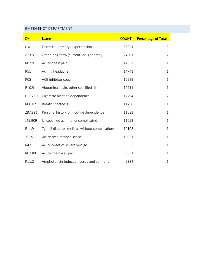## <span id="page-11-0"></span>EMERGENCY DEPARTMENT

| <b>DX</b>  | <b>Name</b>                                    | <b>COUNT</b> | <b>Percentage of Total</b> |
|------------|------------------------------------------------|--------------|----------------------------|
| 110        | Essential (primary) hypertension               | 26224        | 3                          |
| Z79.899    | Other long term (current) drug therapy         | 24301        | $\overline{2}$             |
| R07.9      | Acute chest pain                               | 14857        | $\mathbf{1}$               |
| <b>R51</b> | Aching headache                                | 14741        | $\mathbf{1}$               |
| <b>RO5</b> | ACE-inhibitor cough                            | 12929        | $\mathbf{1}$               |
| R10.9      | Abdominal pain, other specified site           | 12911        | $\mathbf{1}$               |
| F17.210    | Cigarette nicotine dependence                  | 12794        | $\overline{2}$             |
| R06.02     | <b>Breath shortness</b>                        | 11738        | $\mathbf{1}$               |
| Z87.891    | Personal history of nicotine dependence        | 11683        | $\mathbf{1}$               |
| J45.909    | Unspecified asthma, uncomplicated              | 11653        | $\mathbf{1}$               |
| E11.9      | Type 2 diabetes mellitus without complications | 10108        | $\mathbf{1}$               |
| J06.9      | Acute respiratory disease                      | 10051        | $\mathbf{1}$               |
| R42        | Acute onset of severe vertigo                  | 9853         | $\mathbf{1}$               |
| R07.89     | Acute chest wall pain                          | 9831         | $\mathbf{1}$               |
| R11.2      | Amphotericin-induced nausea and vomiting       | 9384         | $\mathbf{1}$               |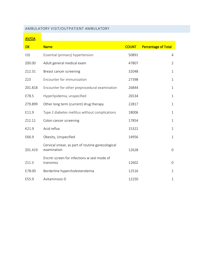## <span id="page-12-0"></span>AMBULATORY VISIT/OUTPATIENT AMBULATORY

# AV/OA

| <b>DX</b> | <b>Name</b>                                                     | <b>COUNT</b> | <b>Percentage of Total</b> |
|-----------|-----------------------------------------------------------------|--------------|----------------------------|
| 110       | Essential (primary) hypertension                                | 50891        | $\overline{4}$             |
| Z00.00    | Adult general medical exam                                      | 47807        | $\overline{2}$             |
| Z12.31    | Breast cancer screening                                         | 32048        | 1                          |
| Z23       | Encounter for immunization                                      | 27398        | $\mathbf{1}$               |
| Z01.818   | Encounter for other preprocedural examination                   | 26844        | $\mathbf{1}$               |
| E78.5     | Hyperlipidemia, unspecified                                     | 26534        | $\mathbf{1}$               |
| Z79.899   | Other long term (current) drug therapy                          | 22817        | 1                          |
| E11.9     | Type 2 diabetes mellitus without complications                  | 18006        | $\mathbf{1}$               |
| Z12.11    | Colon cancer screening                                          | 17854        | $\mathbf{1}$               |
| K21.9     | Acid reflux                                                     | 15322        | $\mathbf{1}$               |
| E66.9     | Obesity, Unspecified                                            | 14956        | $\mathbf{1}$               |
| Z01.419   | Cervical smear, as part of routine gynecological<br>examination | 12628        | $\mathsf{O}\xspace$        |
| Z11.3     | Encntr screen for infections w sexl mode of<br>transmiss        | 12602        | 0                          |
| E78.00    | Borderline hypercholesterolemia                                 | 12516        | $\mathbf{1}$               |
| E55.9     | Avitaminosis D                                                  | 12250        | $\mathbf{1}$               |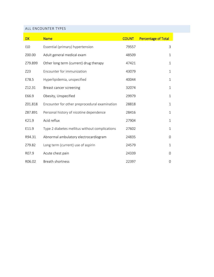#### <span id="page-13-0"></span>ALL ENCOUNTER TYPES

| <b>DX</b> | <b>Name</b>                                    | <b>COUNT</b> | <b>Percentage of Total</b> |
|-----------|------------------------------------------------|--------------|----------------------------|
| 110       | Essential (primary) hypertension               | 79557        | 3                          |
| Z00.00    | Adult general medical exam                     | 48509        | $\mathbf{1}$               |
| Z79.899   | Other long term (current) drug therapy         | 47421        | $\mathbf{1}$               |
| Z23       | Encounter for immunization                     | 43079        | $\mathbf{1}$               |
| E78.5     | Hyperlipidemia, unspecified                    | 40044        | $\mathbf{1}$               |
| Z12.31    | Breast cancer screening                        | 32074        | $\mathbf{1}$               |
| E66.9     | Obesity, Unspecified                           | 29979        | $\mathbf{1}$               |
| Z01.818   | Encounter for other preprocedural examination  | 28818        | $\mathbf{1}$               |
| Z87.891   | Personal history of nicotine dependence        | 28416        | $\mathbf{1}$               |
| K21.9     | Acid reflux                                    | 27904        | $\mathbf{1}$               |
| E11.9     | Type 2 diabetes mellitus without complications | 27602        | $\mathbf{1}$               |
| R94.31    | Abnormal ambulatory electrocardiogram          | 24835        | 0                          |
| Z79.82    | Long term (current) use of aspirin             | 24579        | $\mathbf{1}$               |
| R07.9     | Acute chest pain                               | 24339        | 0                          |
| R06.02    | <b>Breath shortness</b>                        | 22397        | 0                          |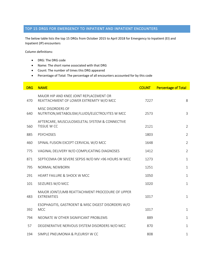## <span id="page-14-0"></span>TOP 15 DRGS FOR EMERGENCY TO INPATIENT AND INPATIENT ENCOUNTERS

The below table lists the top 15 DRGs from October 2015 to April 2018 for Emergency to Inpatient (EI) and Inpatient (IP) encounters

Column definitions:

- DRG: The DRG code
- Name: The short name associated with that DRG
- Count: The number of times this DRG appeared
- Percentage of Total: The percentage of all encounters accounted for by this code

| <b>DRG</b> | <b>NAME</b>                                                                        | <b>COUNT</b> | <b>Percentage of Total</b> |
|------------|------------------------------------------------------------------------------------|--------------|----------------------------|
| 470        | MAJOR HIP AND KNEE JOINT REPLACEMENT OR<br>REATTACHMENT OF LOWER EXTREMITY W/O MCC | 7227         | 8                          |
| 640        | MISC DISORDERS OF<br>NUTRITION, METABOLISM, FLUIDS/ELECTROLYTES W MCC              | 2573         | $\mathbf{3}$               |
| 560        | AFTERCARE, MUSCULOSKELETAL SYSTEM & CONNECTIVE<br>TISSUE W CC                      | 2121         | $\overline{2}$             |
| 885        | <b>PSYCHOSES</b>                                                                   | 1803         | $\overline{2}$             |
| 460        | SPINAL FUSION EXCEPT CERVICAL W/O MCC                                              | 1648         | $\overline{2}$             |
| 775        | VAGINAL DELIVERY W/O COMPLICATING DIAGNOSES                                        | 1412         | $\overline{2}$             |
| 871        | SEPTICEMIA OR SEVERE SEPSIS W/O MV >96 HOURS W MCC                                 | 1273         | $\mathbf{1}$               |
| 795        | NORMAL NEWBORN                                                                     | 1251         | $\mathbf{1}$               |
| 291        | <b>HEART FAILURE &amp; SHOCK W MCC</b>                                             | 1050         | $\mathbf{1}$               |
| 101        | SEIZURES W/O MCC                                                                   | 1020         | $\mathbf{1}$               |
| 483        | MAJOR JOINT/LIMB REATTACHMENT PROCEDURE OF UPPER<br><b>EXTREMITIES</b>             | 1017         | $\mathbf{1}$               |
| 392        | ESOPHAGITIS, GASTROENT & MISC DIGEST DISORDERS W/O<br><b>MCC</b>                   | 1017         | $\mathbf{1}$               |
| 794        | NEONATE W OTHER SIGNIFICANT PROBLEMS                                               | 889          | $\mathbf{1}$               |
| 57         | DEGENERATIVE NERVOUS SYSTEM DISORDERS W/O MCC                                      | 870          | $\mathbf{1}$               |
| 194        | SIMPLE PNEUMONIA & PLEURISY W CC                                                   | 808          | $\mathbf 1$                |